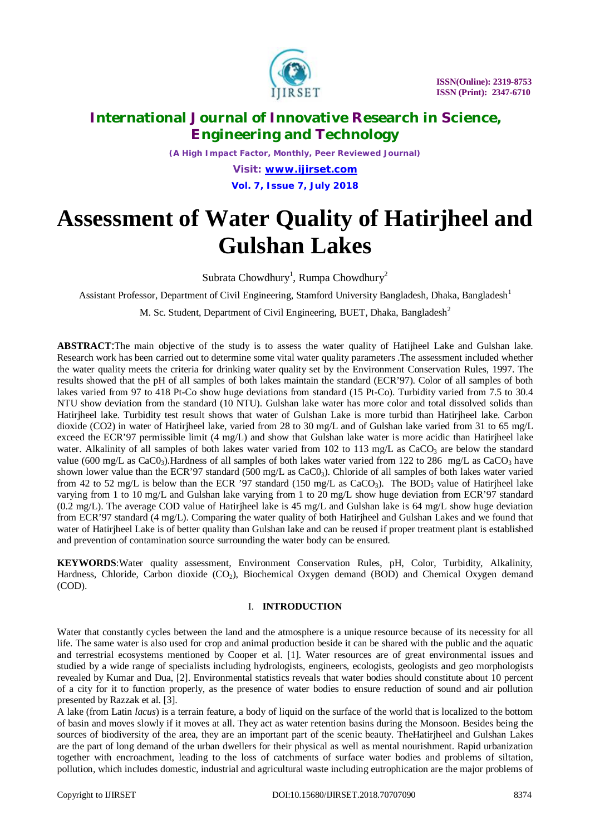

*(A High Impact Factor, Monthly, Peer Reviewed Journal)*

*Visit: [www.ijirset.com](http://www.ijirset.com)* **Vol. 7, Issue 7, July 2018**

# **Assessment of Water Quality of Hatirjheel and Gulshan Lakes**

Subrata Chowdhury<sup>1</sup>, Rumpa Chowdhury<sup>2</sup>

Assistant Professor, Department of Civil Engineering, Stamford University Bangladesh, Dhaka, Bangladesh<sup>1</sup>

M. Sc. Student, Department of Civil Engineering, BUET, Dhaka, Bangladesh<sup>2</sup>

**ABSTRACT**:The main objective of the study is to assess the water quality of Hatijheel Lake and Gulshan lake. Research work has been carried out to determine some vital water quality parameters .The assessment included whether the water quality meets the criteria for drinking water quality set by the Environment Conservation Rules, 1997. The results showed that the pH of all samples of both lakes maintain the standard (ECR'97). Color of all samples of both lakes varied from 97 to 418 Pt-Co show huge deviations from standard (15 Pt-Co). Turbidity varied from 7.5 to 30.4 NTU show deviation from the standard (10 NTU). Gulshan lake water has more color and total dissolved solids than Hatirjheel lake. Turbidity test result shows that water of Gulshan Lake is more turbid than Hatirjheel lake. Carbon dioxide (CO2) in water of Hatirjheel lake, varied from 28 to 30 mg/L and of Gulshan lake varied from 31 to 65 mg/L exceed the ECR'97 permissible limit (4 mg/L) and show that Gulshan lake water is more acidic than Hatirjheel lake water. Alkalinity of all samples of both lakes water varied from 102 to 113 mg/L as CaCO<sub>3</sub> are below the standard value (600 mg/L as CaC0<sub>3</sub>). Hardness of all samples of both lakes water varied from 122 to 286 mg/L as CaCO<sub>3</sub> have shown lower value than the ECR'97 standard (500 mg/L as CaC0<sub>3</sub>). Chloride of all samples of both lakes water varied from 42 to 52 mg/L is below than the ECR '97 standard (150 mg/L as CaCO<sub>3</sub>). The BOD<sub>5</sub> value of Hatirjheel lake varying from 1 to 10 mg/L and Gulshan lake varying from 1 to 20 mg/L show huge deviation from ECR'97 standard (0.2 mg/L). The average COD value of Hatirjheel lake is 45 mg/L and Gulshan lake is 64 mg/L show huge deviation from ECR'97 standard (4 mg/L). Comparing the water quality of both Hatirjheel and Gulshan Lakes and we found that water of Hatirjheel Lake is of better quality than Gulshan lake and can be reused if proper treatment plant is established and prevention of contamination source surrounding the water body can be ensured.

**KEYWORDS**:Water quality assessment, Environment Conservation Rules, pH, Color, Turbidity, Alkalinity, Hardness, Chloride, Carbon dioxide (CO<sub>2</sub>), Biochemical Oxygen demand (BOD) and Chemical Oxygen demand (COD).

#### I. **INTRODUCTION**

Water that constantly cycles between the land and the atmosphere is a unique resource because of its necessity for all life. The same water is also used for crop and animal production beside it can be shared with the public and the aquatic and terrestrial ecosystems mentioned by Cooper et al. [1]. Water resources are of great environmental issues and studied by a wide range of specialists including hydrologists, engineers, ecologists, geologists and geo morphologists revealed by Kumar and Dua, [2]. Environmental statistics reveals that water bodies should constitute about 10 percent of a city for it to function properly, as the presence of water bodies to ensure reduction of sound and air pollution presented by Razzak et al. [3].

A lake (from Latin *lacus*) is a terrain feature, a body of liquid on the surface of the world that is localized to the bottom of basin and moves slowly if it moves at all. They act as water retention basins during the Monsoon. Besides being the sources of biodiversity of the area, they are an important part of the scenic beauty. TheHatirjheel and Gulshan Lakes are the part of long demand of the urban dwellers for their physical as well as mental nourishment. Rapid urbanization together with encroachment, leading to the loss of catchments of surface water bodies and problems of siltation, pollution, which includes domestic, industrial and agricultural waste including eutrophication are the major problems of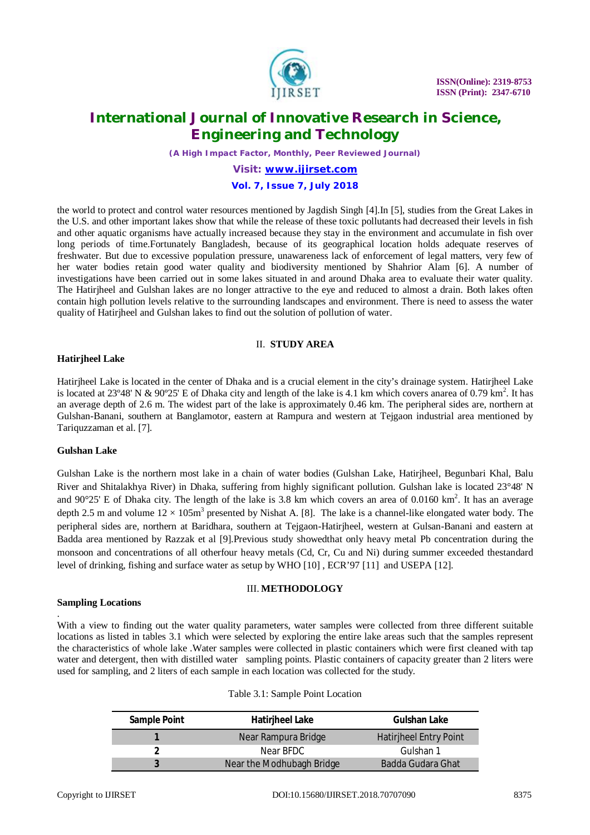

*(A High Impact Factor, Monthly, Peer Reviewed Journal)*

# *Visit: [www.ijirset.com](http://www.ijirset.com)*

### **Vol. 7, Issue 7, July 2018**

the world to protect and control water resources mentioned by Jagdish Singh [4].In [5], studies from the Great Lakes in the U.S. and other important lakes show that while the release of these toxic pollutants had decreased their levels in fish and other aquatic organisms have actually increased because they stay in the environment and accumulate in fish over long periods of time.Fortunately Bangladesh, because of its geographical location holds adequate reserves of freshwater. But due to excessive population pressure, unawareness lack of enforcement of legal matters, very few of her water bodies retain good water quality and biodiversity mentioned by Shahrior Alam [6]. A number of investigations have been carried out in some lakes situated in and around Dhaka area to evaluate their water quality. The Hatirjheel and Gulshan lakes are no longer attractive to the eye and reduced to almost a drain. Both lakes often contain high pollution levels relative to the surrounding landscapes and environment. There is need to assess the water quality of Hatirjheel and Gulshan lakes to find out the solution of pollution of water.

#### II. **STUDY AREA**

#### **Hatirjheel Lake**

Hatirjheel Lake is located in the center of Dhaka and is a crucial element in the city's drainage system. Hatirjheel Lake is located at 23°48' N & 90°25' E of Dhaka city and length of the lake is 4.1 km which covers anarea of 0.79 km<sup>2</sup>. It has an average depth of 2.6 m. The widest part of the lake is approximately 0.46 km. The peripheral sides are, northern at Gulshan-Banani, southern at Banglamotor, eastern at Rampura and western at Tejgaon industrial area mentioned by Tariquzzaman et al. [7].

#### **Gulshan Lake**

Gulshan Lake is the northern most lake in a chain of water bodies (Gulshan Lake, Hatirjheel, Begunbari Khal, Balu River and Shitalakhya River) in Dhaka, suffering from highly significant pollution. Gulshan lake is located 23°48' N and 90 $\degree$ 25' E of Dhaka city. The length of the lake is 3.8 km which covers an area of 0.0160 km<sup>2</sup>. It has an average depth 2.5 m and volume  $12 \times 105 \text{m}^3$  presented by Nishat A. [8]. The lake is a channel-like elongated water body. The peripheral sides are, northern at Baridhara, southern at Tejgaon-Hatirjheel, western at Gulsan-Banani and eastern at Badda area mentioned by Razzak et al [9].Previous study showedthat only heavy metal Pb concentration during the monsoon and concentrations of all otherfour heavy metals (Cd, Cr, Cu and Ni) during summer exceeded thestandard level of drinking, fishing and surface water as setup by WHO [10] , ECR'97 [11] and USEPA [12].

#### III. **METHODOLOGY**

#### **Sampling Locations**

. With a view to finding out the water quality parameters, water samples were collected from three different suitable locations as listed in tables 3.1 which were selected by exploring the entire lake areas such that the samples represent the characteristics of whole lake .Water samples were collected in plastic containers which were first cleaned with tap water and detergent, then with distilled water sampling points. Plastic containers of capacity greater than 2 liters were used for sampling, and 2 liters of each sample in each location was collected for the study.

| <b>Sample Point</b> | <b>Hatiriheel Lake</b>    | <b>Gulshan Lake</b>           |  |  |
|---------------------|---------------------------|-------------------------------|--|--|
|                     | Near Rampura Bridge       | <b>Hatiriheel Entry Point</b> |  |  |
|                     | Near BFDC                 | Gulshan 1                     |  |  |
|                     | Near the Modhubagh Bridge | Badda Gudara Ghat             |  |  |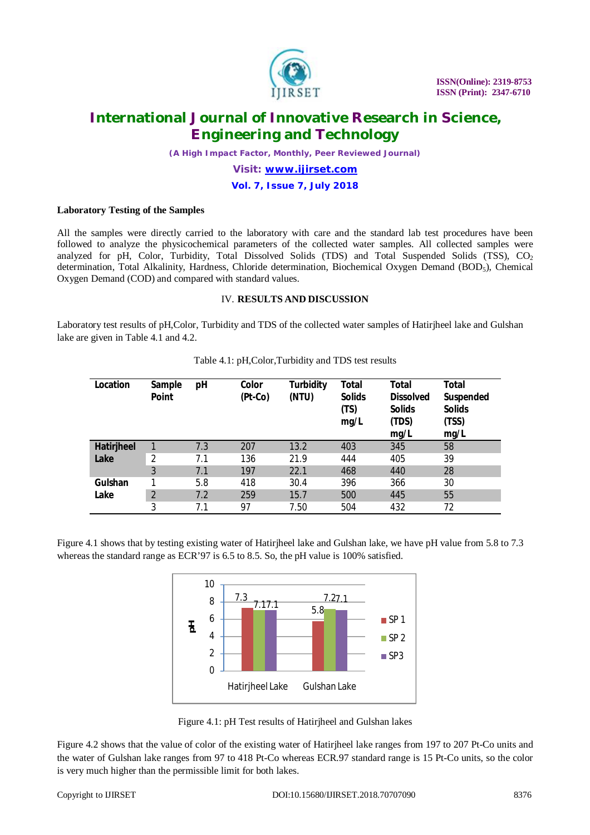

*(A High Impact Factor, Monthly, Peer Reviewed Journal)*

# *Visit: [www.ijirset.com](http://www.ijirset.com)*

### **Vol. 7, Issue 7, July 2018**

#### **Laboratory Testing of the Samples**

All the samples were directly carried to the laboratory with care and the standard lab test procedures have been followed to analyze the physicochemical parameters of the collected water samples. All collected samples were analyzed for pH, Color, Turbidity, Total Dissolved Solids (TDS) and Total Suspended Solids (TSS),  $CO<sub>2</sub>$ determination, Total Alkalinity, Hardness, Chloride determination, Biochemical Oxygen Demand (BOD<sub>5</sub>), Chemical Oxygen Demand (COD) and compared with standard values.

#### IV. **RESULTS AND DISCUSSION**

Laboratory test results of pH,Color, Turbidity and TDS of the collected water samples of Hatirjheel lake and Gulshan lake are given in Table 4.1 and 4.2.

| Location           | Sample<br><b>Point</b> | рH  | Color<br>$(Pt-Co)$ | <b>Turbidity</b><br>(NTU) | Total<br><b>Solids</b><br>(TS)<br>mg/L | Total<br><b>Dissolved</b><br><b>Solids</b><br>(TDS)<br>mg/L | <b>Total</b><br>Suspended<br><b>Solids</b><br>(TSS)<br>mg/L |
|--------------------|------------------------|-----|--------------------|---------------------------|----------------------------------------|-------------------------------------------------------------|-------------------------------------------------------------|
| Hatirjheel<br>Lake |                        | 7.3 | 207                | 13.2                      | 403                                    | 345                                                         | 58                                                          |
|                    | 2                      | 7.1 | 136                | 21.9                      | 444                                    | 405                                                         | 39                                                          |
|                    | 3                      | 7.1 | 197                | 22.1                      | 468                                    | 440                                                         | 28                                                          |
| Gulshan<br>Lake    |                        | 5.8 | 418                | 30.4                      | 396                                    | 366                                                         | 30                                                          |
|                    | 2                      | 7.2 | 259                | 15.7                      | 500                                    | 445                                                         | 55                                                          |
|                    | 3                      | 7.1 | 97                 | 7.50                      | 504                                    | 432                                                         | 72                                                          |

|  |  | Table 4.1: pH, Color, Turbidity and TDS test results |
|--|--|------------------------------------------------------|
|--|--|------------------------------------------------------|

Figure 4.1 shows that by testing existing water of Hatirjheel lake and Gulshan lake, we have pH value from 5.8 to 7.3 whereas the standard range as ECR'97 is 6.5 to 8.5. So, the pH value is 100% satisfied.



Figure 4.1: pH Test results of Hatirjheel and Gulshan lakes

Figure 4.2 shows that the value of color of the existing water of Hatirjheel lake ranges from 197 to 207 Pt-Co units and the water of Gulshan lake ranges from 97 to 418 Pt-Co whereas ECR.97 standard range is 15 Pt-Co units, so the color is very much higher than the permissible limit for both lakes.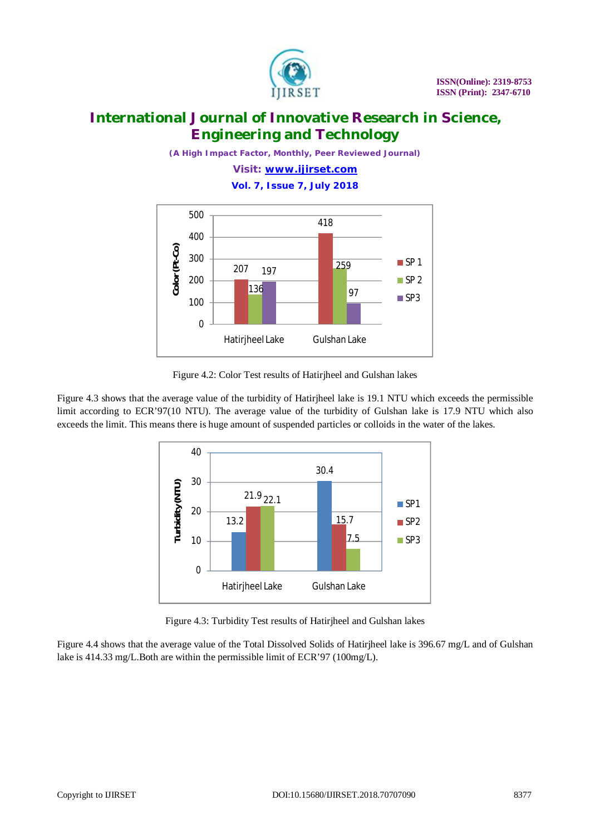

*(A High Impact Factor, Monthly, Peer Reviewed Journal)*

*Visit: [www.ijirset.com](http://www.ijirset.com)* **Vol. 7, Issue 7, July 2018**



Figure 4.2: Color Test results of Hatirjheel and Gulshan lakes

Figure 4.3 shows that the average value of the turbidity of Hatirjheel lake is 19.1 NTU which exceeds the permissible limit according to ECR'97(10 NTU). The average value of the turbidity of Gulshan lake is 17.9 NTU which also exceeds the limit. This means there is huge amount of suspended particles or colloids in the water of the lakes.



Figure 4.3: Turbidity Test results of Hatirjheel and Gulshan lakes

Figure 4.4 shows that the average value of the Total Dissolved Solids of Hatirjheel lake is 396.67 mg/L and of Gulshan lake is 414.33 mg/L.Both are within the permissible limit of ECR'97 (100mg/L).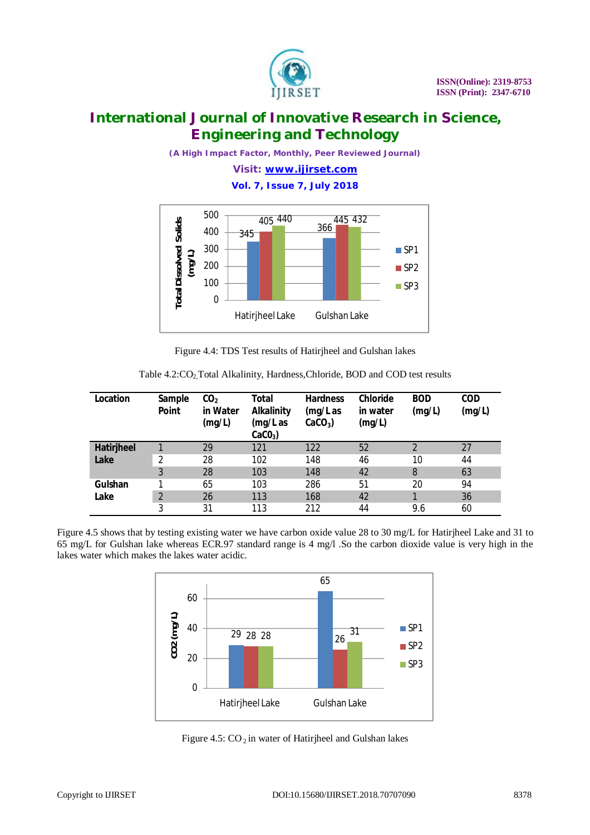

*(A High Impact Factor, Monthly, Peer Reviewed Journal)*

*Visit: [www.ijirset.com](http://www.ijirset.com)* **Vol. 7, Issue 7, July 2018**



Figure 4.4: TDS Test results of Hatirjheel and Gulshan lakes

| Location   | Sample<br><b>Point</b> | CO <sub>2</sub><br>in Water<br>(mg/L) | Total<br><b>Alkalinity</b><br>(mg/L as<br>$CaCO3$ ) | <b>Hardness</b><br>(mg/L as<br>$CaCO3$ ) | <b>Chloride</b><br>in water<br>(mg/L) | <b>BOD</b><br>(mg/L) | <b>COD</b><br>(mg/L) |
|------------|------------------------|---------------------------------------|-----------------------------------------------------|------------------------------------------|---------------------------------------|----------------------|----------------------|
| Hatirjheel |                        | 29                                    | 121                                                 | 122                                      | 52                                    | 2                    | 27                   |
| Lake       | 2                      | 28                                    | 102                                                 | 148                                      | 46                                    | 10                   | 44                   |
|            | 3                      | 28                                    | 103                                                 | 148                                      | 42                                    | 8                    | 63                   |
| Gulshan    |                        | 65                                    | 103                                                 | 286                                      | 51                                    | 20                   | 94                   |
| Lake       | $\overline{2}$         | 26                                    | 113                                                 | 168                                      | 42                                    | 1                    | 36                   |
|            | 3                      | 31                                    | 113                                                 | 212                                      | 44                                    | 9.6                  | 60                   |

Table 4.2:CO<sub>2</sub>, Total Alkalinity, Hardness, Chloride, BOD and COD test results

Figure 4.5 shows that by testing existing water we have carbon oxide value 28 to 30 mg/L for Hatirjheel Lake and 31 to 65 mg/L for Gulshan lake whereas ECR.97 standard range is 4 mg/l .So the carbon dioxide value is very high in the lakes water which makes the lakes water acidic.



Figure 4.5:  $CO_2$  in water of Hatirjheel and Gulshan lakes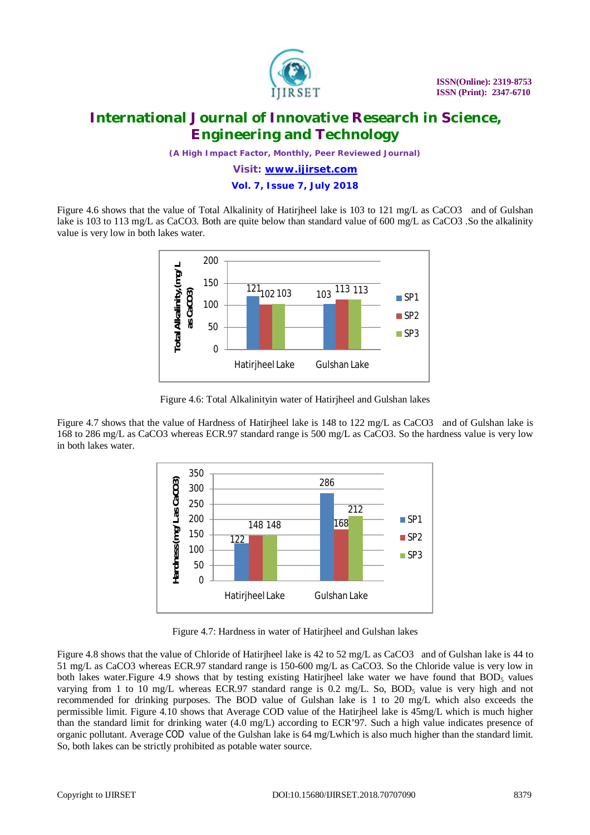

*(A High Impact Factor, Monthly, Peer Reviewed Journal)*

*Visit: [www.ijirset.com](http://www.ijirset.com)*

#### **Vol. 7, Issue 7, July 2018**

Figure 4.6 shows that the value of Total Alkalinity of Hatirjheel lake is 103 to 121 mg/L as CaCO3 and of Gulshan lake is 103 to 113 mg/L as CaCO3. Both are quite below than standard value of 600 mg/L as CaCO3 .So the alkalinity value is very low in both lakes water.



Figure 4.6: Total Alkalinityin water of Hatirjheel and Gulshan lakes

Figure 4.7 shows that the value of Hardness of Hatirjheel lake is 148 to 122 mg/L as CaCO3 and of Gulshan lake is 168 to 286 mg/L as CaCO3 whereas ECR.97 standard range is 500 mg/L as CaCO3. So the hardness value is very low in both lakes water.



Figure 4.7: Hardness in water of Hatirjheel and Gulshan lakes

Figure 4.8 shows that the value of Chloride of Hatirjheel lake is 42 to 52 mg/L as CaCO3 and of Gulshan lake is 44 to 51 mg/L as CaCO3 whereas ECR.97 standard range is 150-600 mg/L as CaCO3. So the Chloride value is very low in both lakes water. Figure 4.9 shows that by testing existing Hatirjheel lake water we have found that  $BOD<sub>5</sub>$  values varying from 1 to 10 mg/L whereas ECR.97 standard range is 0.2 mg/L. So, BOD<sub>5</sub> value is very high and not recommended for drinking purposes. The BOD value of Gulshan lake is 1 to 20 mg/L which also exceeds the permissible limit. Figure 4.10 shows that Average COD value of the Hatirjheel lake is 45mg/L which is much higher than the standard limit for drinking water (4.0 mg/L) according to ECR'97. Such a high value indicates presence of organic pollutant. Average COD value of the Gulshan lake is 64 mg/Lwhich is also much higher than the standard limit. So, both lakes can be strictly prohibited as potable water source.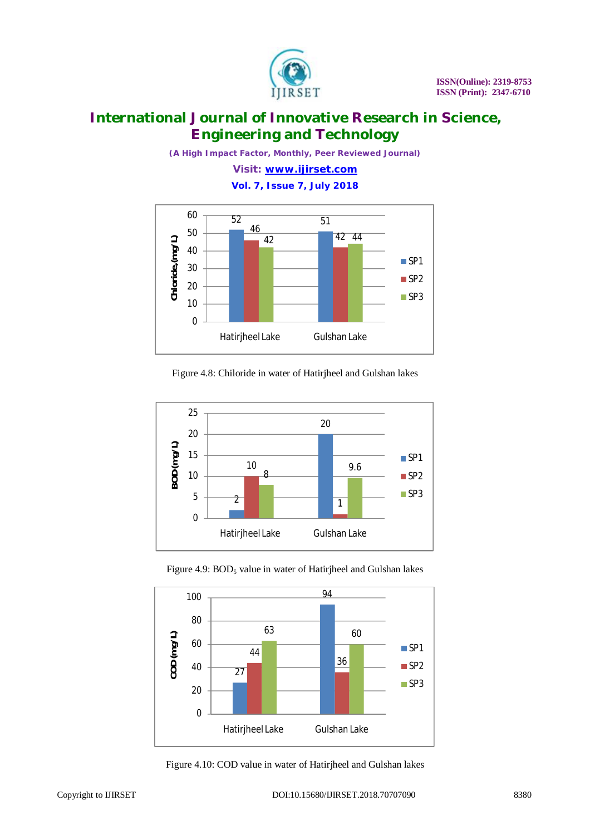

*(A High Impact Factor, Monthly, Peer Reviewed Journal)*

*Visit: [www.ijirset.com](http://www.ijirset.com)* **Vol. 7, Issue 7, July 2018**



Figure 4.8: Chiloride in water of Hatirjheel and Gulshan lakes



Figure 4.9: BOD<sub>5</sub> value in water of Hatirjheel and Gulshan lakes



Figure 4.10: COD value in water of Hatirjheel and Gulshan lakes